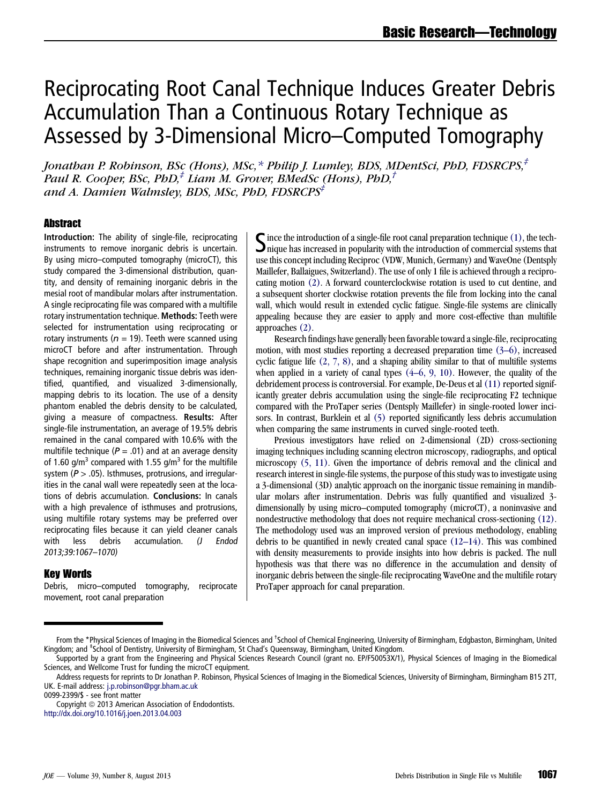# Reciprocating Root Canal Technique Induces Greater Debris Accumulation Than a Continuous Rotary Technique as Assessed by 3-Dimensional Micro–Computed Tomography

Jonatban P. Robinson, BSc (Hons), MSc,\* Philip J. Lumley, BDS, MDentSci, PbD, FDSRCPS,<sup>‡</sup> Paul R. Cooper, BSc, PhD, $^{\ddag}$  Liam M. Grover, BMedSc (Hons), PhD, $^{\ddag}$ and A. Damien Walmsley, BDS, MSc, PhD, FDSRCPS<sup>‡</sup>

# **Abstract**

Introduction: The ability of single-file, reciprocating instruments to remove inorganic debris is uncertain. By using micro–computed tomography (microCT), this study compared the 3-dimensional distribution, quantity, and density of remaining inorganic debris in the mesial root of mandibular molars after instrumentation. A single reciprocating file was compared with a multifile rotary instrumentation technique. Methods: Teeth were selected for instrumentation using reciprocating or rotary instruments ( $n = 19$ ). Teeth were scanned using microCT before and after instrumentation. Through shape recognition and superimposition image analysis techniques, remaining inorganic tissue debris was identified, quantified, and visualized 3-dimensionally, mapping debris to its location. The use of a density phantom enabled the debris density to be calculated, giving a measure of compactness. Results: After single-file instrumentation, an average of 19.5% debris remained in the canal compared with 10.6% with the multifile technique ( $P = .01$ ) and at an average density of 1.60 g/m<sup>3</sup> compared with 1.55 g/m<sup>3</sup> for the multifile system ( $P > .05$ ). Isthmuses, protrusions, and irregularities in the canal wall were repeatedly seen at the locations of debris accumulation. Conclusions: In canals with a high prevalence of isthmuses and protrusions, using multifile rotary systems may be preferred over reciprocating files because it can yield cleaner canals with less debris accumulation. (J Endod 2013;39:1067–1070)

#### Key Words

Debris, micro–computed tomography, reciprocate movement, root canal preparation

Since the introduction of a single-file root canal preparation technique [\(1\)](#page-3-0), the tech-<br>nique has increased in popularity with the introduction of commercial systems that use this concept including Reciproc (VDW, Munich, Germany) and WaveOne (Dentsply Maillefer, Ballaigues, Switzerland). The use of only 1 file is achieved through a reciprocating motion [\(2\).](#page-3-0) A forward counterclockwise rotation is used to cut dentine, and a subsequent shorter clockwise rotation prevents the file from locking into the canal wall, which would result in extended cyclic fatigue. Single-file systems are clinically appealing because they are easier to apply and more cost-effective than multifile approaches [\(2\)](#page-3-0).

Research findings have generally been favorable toward a single-file, reciprocating motion, with most studies reporting a decreased preparation time [\(3–6\),](#page-3-0) increased cyclic fatigue life [\(2, 7, 8\)](#page-3-0), and a shaping ability similar to that of multifile systems when applied in a variety of canal types  $(4-6, 9, 10)$ . However, the quality of the debridement process is controversial. For example, De-Deus et al [\(11\)](#page-3-0) reported significantly greater debris accumulation using the single-file reciprocating F2 technique compared with the ProTaper series (Dentsply Maillefer) in single-rooted lower incisors. In contrast, Burklein et al [\(5\)](#page-3-0) reported significantly less debris accumulation when comparing the same instruments in curved single-rooted teeth.

Previous investigators have relied on 2-dimensional (2D) cross-sectioning imaging techniques including scanning electron microscopy, radiographs, and optical microscopy [\(5, 11\)](#page-3-0). Given the importance of debris removal and the clinical and research interest in single-file systems, the purpose of this study was to investigate using a 3-dimensional (3D) analytic approach on the inorganic tissue remaining in mandibular molars after instrumentation. Debris was fully quantified and visualized 3 dimensionally by using micro–computed tomography (microCT), a noninvasive and nondestructive methodology that does not require mechanical cross-sectioning [\(12\).](#page-3-0) The methodology used was an improved version of previous methodology, enabling debris to be quantified in newly created canal space [\(12–14\).](#page-3-0) This was combined with density measurements to provide insights into how debris is packed. The null hypothesis was that there was no difference in the accumulation and density of inorganic debris between the single-file reciprocating WaveOne and the multifile rotary ProTaper approach for canal preparation.

From the \*Physical Sciences of Imaging in the Biomedical Sciences and <sup>†</sup>School of Chemical Engineering, University of Birmingham, Edgbaston, Birmingham, United Kingdom; and ‡ School of Dentistry, University of Birmingham, St Chad's Queensway, Birmingham, United Kingdom.

Supported by a grant from the Engineering and Physical Sciences Research Council (grant no. EP/F50053X/1), Physical Sciences of Imaging in the Biomedical Sciences, and Wellcome Trust for funding the microCT equipment.

Address requests for reprints to Dr Jonathan P. Robinson, Physical Sciences of Imaging in the Biomedical Sciences, University of Birmingham, Birmingham B15 2TT, UK. E-mail address: [j.p.robinson@pgr.bham.ac.uk](mailto:j.p.robinson@pgr.bham.ac.uk)

<sup>0099-2399/\$ -</sup> see front matter

Copyright © 2013 American Association of Endodontists.

<http://dx.doi.org/10.1016/j.joen.2013.04.003>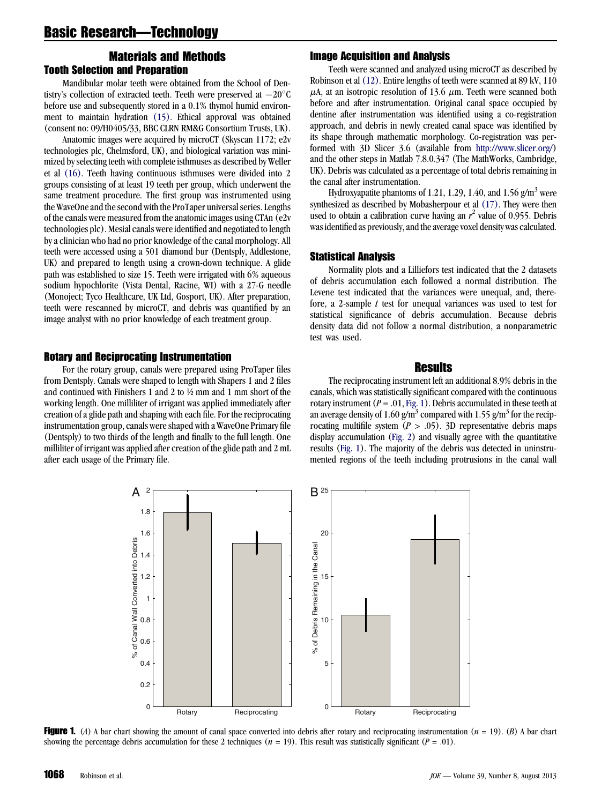# <span id="page-1-0"></span>Materials and Methods Tooth Selection and Preparation

Mandibular molar teeth were obtained from the School of Dentistry's collection of extracted teeth. Teeth were preserved at  $-20^{\circ}$ C before use and subsequently stored in a 0.1% thymol humid environment to maintain hydration [\(15\).](#page-3-0) Ethical approval was obtained (consent no: 09/H0405/33, BBC CLRN RM&G Consortium Trusts, UK).

Anatomic images were acquired by microCT (Skyscan 1172; e2v technologies plc, Chelmsford, UK), and biological variation was minimized by selecting teeth with complete isthmuses as described by Weller et al [\(16\)](#page-3-0). Teeth having continuous isthmuses were divided into 2 groups consisting of at least 19 teeth per group, which underwent the same treatment procedure. The first group was instrumented using the WaveOne and the second with the ProTaper universal series. Lengths of the canals were measured from the anatomic images using CTAn (e2v technologies plc). Mesial canals were identified and negotiated to length by a clinician who had no prior knowledge of the canal morphology. All teeth were accessed using a 501 diamond bur (Dentsply, Addlestone, UK) and prepared to length using a crown-down technique. A glide path was established to size 15. Teeth were irrigated with 6% aqueous sodium hypochlorite (Vista Dental, Racine, WI) with a 27-G needle (Monoject; Tyco Healthcare, UK Ltd, Gosport, UK). After preparation, teeth were rescanned by microCT, and debris was quantified by an image analyst with no prior knowledge of each treatment group.

#### Rotary and Reciprocating Instrumentation

For the rotary group, canals were prepared using ProTaper files from Dentsply. Canals were shaped to length with Shapers 1 and 2 files and continued with Finishers 1 and 2 to ½ mm and 1 mm short of the working length. One milliliter of irrigant was applied immediately after creation of a glide path and shaping with each file. For the reciprocating instrumentation group, canals were shaped with a WaveOne Primary file (Dentsply) to two thirds of the length and finally to the full length. One milliliter of irrigant was applied after creation of the glide path and 2 mL after each usage of the Primary file.

# Image Acquisition and Analysis

Teeth were scanned and analyzed using microCT as described by Robinson et al [\(12\)](#page-3-0). Entire lengths of teeth were scanned at 89 kV, 110  $\mu$ A, at an isotropic resolution of 13.6  $\mu$ m. Teeth were scanned both before and after instrumentation. Original canal space occupied by dentine after instrumentation was identified using a co-registration approach, and debris in newly created canal space was identified by its shape through mathematic morphology. Co-registration was performed with 3D Slicer 3.6 (available from <http://www.slicer.org/>) and the other steps in Matlab 7.8.0.347 (The MathWorks, Cambridge, UK). Debris was calculated as a percentage of total debris remaining in the canal after instrumentation.

Hydroxyapatite phantoms of 1.21, 1.29, 1.40, and 1.56  $g/m<sup>3</sup>$  were synthesized as described by Mobasherpour et al [\(17\)](#page-3-0). They were then used to obtain a calibration curve having an  $r^2$  value of 0.955. Debris was identified as previously, and the average voxel density was calculated.

# Statistical Analysis

Normality plots and a Lilliefors test indicated that the 2 datasets of debris accumulation each followed a normal distribution. The Levene test indicated that the variances were unequal, and, therefore, a 2-sample  $t$  test for unequal variances was used to test for statistical significance of debris accumulation. Because debris density data did not follow a normal distribution, a nonparametric test was used.

# **Results**

The reciprocating instrument left an additional 8.9% debris in the canals, which was statistically significant compared with the continuous rotary instrument ( $P = .01$ , Fig. 1). Debris accumulated in these teeth at an average density of 1.60 g/m<sup>3</sup> compared with 1.55 g/m<sup>3</sup> for the reciprocating multifile system  $(P > .05)$ . 3D representative debris maps display accumulation ([Fig. 2\)](#page-2-0) and visually agree with the quantitative results (Fig. 1). The majority of the debris was detected in uninstrumented regions of the teeth including protrusions in the canal wall



**Figure 1.** (A) A bar chart showing the amount of canal space converted into debris after rotary and reciprocating instrumentation  $(n = 19)$ . (B) A bar chart showing the percentage debris accumulation for these 2 techniques ( $n = 19$ ). This result was statistically significant ( $P = .01$ ).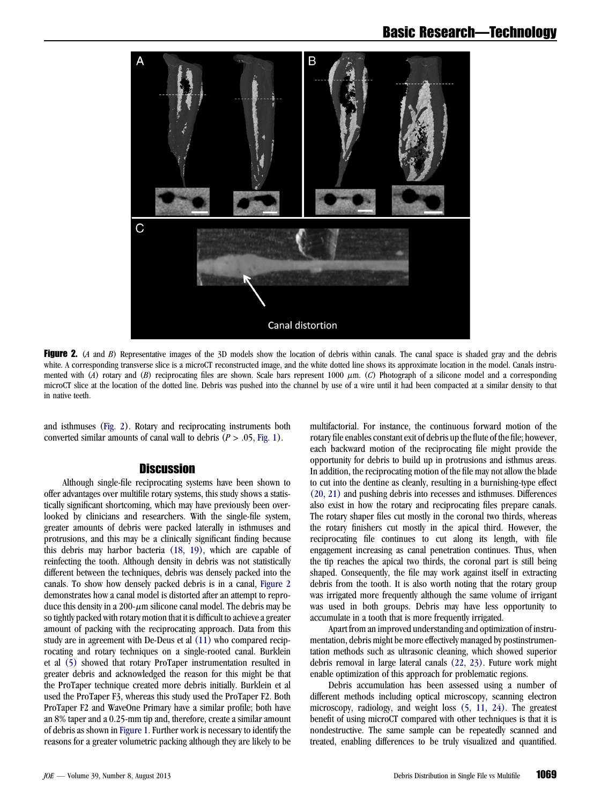<span id="page-2-0"></span>

Figure 2. (A and B) Representative images of the 3D models show the location of debris within canals. The canal space is shaded gray and the debris white. A corresponding transverse slice is a microCT reconstructed image, and the white dotted line shows its approximate location in the model. Canals instrumented with (A) rotary and (B) reciprocating files are shown. Scale bars represent 1000  $\mu$ m. (C) Photograph of a silicone model and a corresponding microCT slice at the location of the dotted line. Debris was pushed into the channel by use of a wire until it had been compacted at a similar density to that in native teeth.

and isthmuses (Fig. 2). Rotary and reciprocating instruments both converted similar amounts of canal wall to debris  $(P > .05, Fig. 1)$  $(P > .05, Fig. 1)$ .

# **Discussion**

Although single-file reciprocating systems have been shown to offer advantages over multifile rotary systems, this study shows a statistically significant shortcoming, which may have previously been overlooked by clinicians and researchers. With the single-file system, greater amounts of debris were packed laterally in isthmuses and protrusions, and this may be a clinically significant finding because this debris may harbor bacteria [\(18, 19\),](#page-3-0) which are capable of reinfecting the tooth. Although density in debris was not statistically different between the techniques, debris was densely packed into the canals. To show how densely packed debris is in a canal, Figure 2 demonstrates how a canal model is distorted after an attempt to reproduce this density in a 200- $\mu$ m silicone canal model. The debris may be so tightly packed with rotary motion that it is difficult to achieve a greater amount of packing with the reciprocating approach. Data from this study are in agreement with De-Deus et al [\(11\)](#page-3-0) who compared reciprocating and rotary techniques on a single-rooted canal. Burklein et al [\(5\)](#page-3-0) showed that rotary ProTaper instrumentation resulted in greater debris and acknowledged the reason for this might be that the ProTaper technique created more debris initially. Burklein et al used the ProTaper F3, whereas this study used the ProTaper F2. Both ProTaper F2 and WaveOne Primary have a similar profile; both have an 8% taper and a 0.25-mm tip and, therefore, create a similar amount of debris as shown in [Figure 1](#page-1-0). Further work is necessary to identify the reasons for a greater volumetric packing although they are likely to be

multifactorial. For instance, the continuous forward motion of the rotary file enables constant exit of debris up the flute of the file; however, each backward motion of the reciprocating file might provide the opportunity for debris to build up in protrusions and isthmus areas. In addition, the reciprocating motion of the file may not allow the blade to cut into the dentine as cleanly, resulting in a burnishing-type effect [\(20, 21\)](#page-3-0) and pushing debris into recesses and isthmuses. Differences also exist in how the rotary and reciprocating files prepare canals. The rotary shaper files cut mostly in the coronal two thirds, whereas the rotary finishers cut mostly in the apical third. However, the reciprocating file continues to cut along its length, with file engagement increasing as canal penetration continues. Thus, when the tip reaches the apical two thirds, the coronal part is still being shaped. Consequently, the file may work against itself in extracting debris from the tooth. It is also worth noting that the rotary group was irrigated more frequently although the same volume of irrigant was used in both groups. Debris may have less opportunity to accumulate in a tooth that is more frequently irrigated.

Apart from an improved understanding and optimization of instrumentation, debris might be more effectively managed by postinstrumentation methods such as ultrasonic cleaning, which showed superior debris removal in large lateral canals [\(22, 23\)](#page-3-0). Future work might enable optimization of this approach for problematic regions.

Debris accumulation has been assessed using a number of different methods including optical microscopy, scanning electron microscopy, radiology, and weight loss [\(5, 11, 24\).](#page-3-0) The greatest benefit of using microCT compared with other techniques is that it is nondestructive. The same sample can be repeatedly scanned and treated, enabling differences to be truly visualized and quantified.